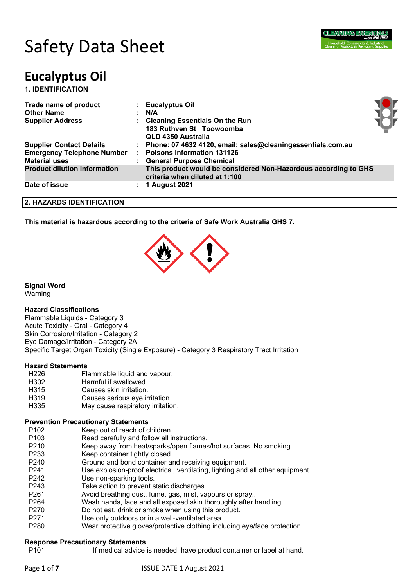

# Safety Data Sheet

## **Eucalyptus Oil**

| <b>1. IDENTIFICATION</b>                                                                     |                                                                                                                                     |  |
|----------------------------------------------------------------------------------------------|-------------------------------------------------------------------------------------------------------------------------------------|--|
| Trade name of product<br><b>Other Name</b>                                                   | <b>Eucalyptus Oil</b><br>N/A                                                                                                        |  |
| <b>Supplier Address</b>                                                                      | <b>Cleaning Essentials On the Run</b><br>183 Ruthven St Toowoomba<br><b>QLD 4350 Australia</b>                                      |  |
| <b>Supplier Contact Details</b><br><b>Emergency Telephone Number</b><br><b>Material uses</b> | Phone: 07 4632 4120, email: sales@cleaningessentials.com.au<br><b>Poisons Information 131126</b><br><b>General Purpose Chemical</b> |  |
| <b>Product dilution information</b>                                                          | This product would be considered Non-Hazardous according to GHS<br>criteria when diluted at 1:100                                   |  |
| Date of issue                                                                                | 1 August 2021                                                                                                                       |  |
| 2. HAZARDS IDENTIFICATION                                                                    |                                                                                                                                     |  |

**This material is hazardous according to the criteria of Safe Work Australia GHS 7.**



**Signal Word**

Warning

#### **Hazard Classifications**

Flammable Liquids - Category 3 Acute Toxicity - Oral - Category 4 Skin Corrosion/Irritation - Category 2 Eye Damage/Irritation - Category 2A Specific Target Organ Toxicity (Single Exposure) - Category 3 Respiratory Tract Irritation

#### **Hazard Statements**

| H <sub>226</sub> | Flammable liquid and vapour.      |
|------------------|-----------------------------------|
| H <sub>302</sub> | Harmful if swallowed.             |
| H <sub>315</sub> | Causes skin irritation.           |
| H <sub>319</sub> | Causes serious eye irritation.    |
| H <sub>335</sub> | May cause respiratory irritation. |

#### **Prevention Precautionary Statements**

- P102 Keep out of reach of children.
- P103 Read carefully and follow all instructions.
- P210 Keep away from heat/sparks/open flames/hot surfaces. No smoking.
- P233 Keep container tightly closed.
- P240 Ground and bond container and receiving equipment.
- P241 Use explosion-proof electrical, ventilating, lighting and all other equipment.
- P242 Use non-sparking tools.
- P243 Take action to prevent static discharges.<br>P261 Avoid breathing dust. fume. gas. mist. va
- Avoid breathing dust, fume, gas, mist, vapours or spray..
- P264 Wash hands, face and all exposed skin thoroughly after handling.
- P270 Do not eat, drink or smoke when using this product.
- P271 Use only outdoors or in a well-ventilated area.
- P280 Wear protective gloves/protective clothing including eye/face protection.

#### **Response Precautionary Statements**

P101 If medical advice is needed, have product container or label at hand.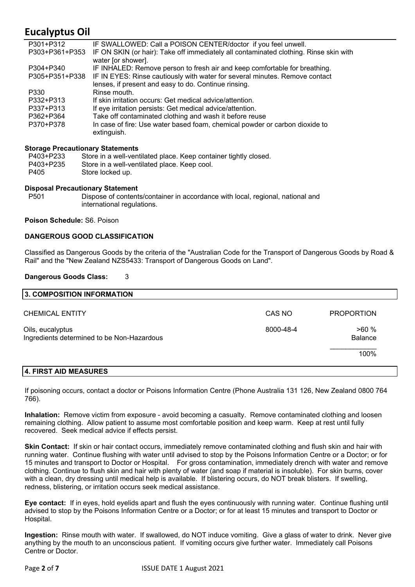## **Eucalyptus Oil**

| P301+P312      | IF SWALLOWED: Call a POISON CENTER/doctor if you feel unwell.                         |
|----------------|---------------------------------------------------------------------------------------|
| P303+P361+P353 | IF ON SKIN (or hair): Take off immediately all contaminated clothing. Rinse skin with |
|                | water [or shower].                                                                    |
| P304+P340      | IF INHALED: Remove person to fresh air and keep comfortable for breathing.            |
| P305+P351+P338 | IF IN EYES: Rinse cautiously with water for several minutes. Remove contact           |
|                | lenses, if present and easy to do. Continue rinsing.                                  |
| P330           | Rinse mouth.                                                                          |
| P332+P313      | If skin irritation occurs: Get medical advice/attention.                              |
| P337+P313      | If eye irritation persists: Get medical advice/attention.                             |
| P362+P364      | Take off contaminated clothing and wash it before reuse                               |
| P370+P378      | In case of fire: Use water based foam, chemical powder or carbon dioxide to           |
|                | extinguish.                                                                           |

#### **Storage Precautionary Statements**

| P403+P233 | Store in a well-ventilated place. Keep container tightly closed. |
|-----------|------------------------------------------------------------------|
| P403+P235 | Store in a well-ventilated place. Keep cool.                     |
| P405      | Store locked up.                                                 |

#### **Disposal Precautionary Statement**

P501 Dispose of contents/container in accordance with local, regional, national and international regulations.

#### **Poison Schedule:** S6. Poison

#### **DANGEROUS GOOD CLASSIFICATION**

Classified as Dangerous Goods by the criteria of the "Australian Code for the Transport of Dangerous Goods by Road & Rail" and the "New Zealand NZS5433: Transport of Dangerous Goods on Land".

#### **Dangerous Goods Class:** 3

| 3. COMPOSITION INFORMATION                                     |           |                        |
|----------------------------------------------------------------|-----------|------------------------|
| <b>CHEMICAL ENTITY</b>                                         | CAS NO    | <b>PROPORTION</b>      |
| Oils, eucalyptus<br>Ingredients determined to be Non-Hazardous | 8000-48-4 | >60%<br><b>Balance</b> |
|                                                                |           | 100%                   |
| $\lambda$ finat ain Meagurea                                   |           |                        |

#### **4. FIRST AID MEASURES**

If poisoning occurs, contact a doctor or Poisons Information Centre (Phone Australia 131 126, New Zealand 0800 764 766).

**Inhalation:** Remove victim from exposure - avoid becoming a casualty. Remove contaminated clothing and loosen remaining clothing. Allow patient to assume most comfortable position and keep warm. Keep at rest until fully recovered. Seek medical advice if effects persist.

**Skin Contact:** If skin or hair contact occurs, immediately remove contaminated clothing and flush skin and hair with running water. Continue flushing with water until advised to stop by the Poisons Information Centre or a Doctor; or for 15 minutes and transport to Doctor or Hospital. For gross contamination, immediately drench with water and remove clothing. Continue to flush skin and hair with plenty of water (and soap if material is insoluble). For skin burns, cover with a clean, dry dressing until medical help is available. If blistering occurs, do NOT break blisters. If swelling, redness, blistering, or irritation occurs seek medical assistance.

**Eye contact:** If in eyes, hold eyelids apart and flush the eyes continuously with running water. Continue flushing until advised to stop by the Poisons Information Centre or a Doctor; or for at least 15 minutes and transport to Doctor or Hospital.

**Ingestion:** Rinse mouth with water. If swallowed, do NOT induce vomiting. Give a glass of water to drink. Never give anything by the mouth to an unconscious patient. If vomiting occurs give further water. Immediately call Poisons Centre or Doctor.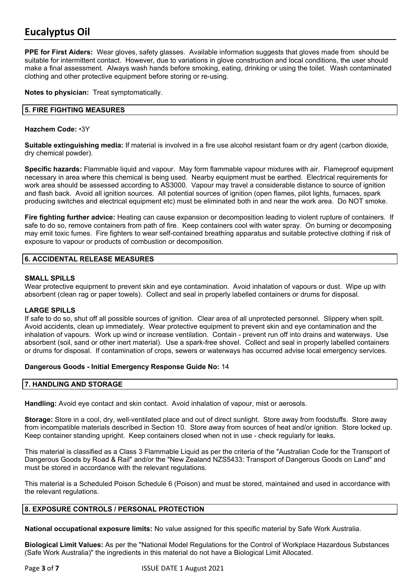**PPE for First Aiders:** Wear gloves, safety glasses. Available information suggests that gloves made from should be suitable for intermittent contact. However, due to variations in glove construction and local conditions, the user should make a final assessment. Always wash hands before smoking, eating, drinking or using the toilet. Wash contaminated clothing and other protective equipment before storing or re-using.

**Notes to physician:** Treat symptomatically.

#### **5. FIRE FIGHTING MEASURES**

#### **Hazchem Code:** •3Y

**Suitable extinguishing media:** If material is involved in a fire use alcohol resistant foam or dry agent (carbon dioxide, dry chemical powder).

**Specific hazards:** Flammable liquid and vapour. May form flammable vapour mixtures with air. Flameproof equipment necessary in area where this chemical is being used. Nearby equipment must be earthed. Electrical requirements for work area should be assessed according to AS3000. Vapour may travel a considerable distance to source of ignition and flash back. Avoid all ignition sources. All potential sources of ignition (open flames, pilot lights, furnaces, spark producing switches and electrical equipment etc) must be eliminated both in and near the work area. Do NOT smoke.

**Fire fighting further advice:** Heating can cause expansion or decomposition leading to violent rupture of containers. If safe to do so, remove containers from path of fire. Keep containers cool with water spray. On burning or decomposing may emit toxic fumes. Fire fighters to wear self-contained breathing apparatus and suitable protective clothing if risk of exposure to vapour or products of combustion or decomposition.

#### **6. ACCIDENTAL RELEASE MEASURES**

#### **SMALL SPILLS**

Wear protective equipment to prevent skin and eye contamination. Avoid inhalation of vapours or dust. Wipe up with absorbent (clean rag or paper towels). Collect and seal in properly labelled containers or drums for disposal.

#### **LARGE SPILLS**

If safe to do so, shut off all possible sources of ignition. Clear area of all unprotected personnel. Slippery when spilt. Avoid accidents, clean up immediately. Wear protective equipment to prevent skin and eye contamination and the inhalation of vapours. Work up wind or increase ventilation. Contain - prevent run off into drains and waterways. Use absorbent (soil, sand or other inert material). Use a spark-free shovel. Collect and seal in properly labelled containers or drums for disposal. If contamination of crops, sewers or waterways has occurred advise local emergency services.

#### **Dangerous Goods - Initial Emergency Response Guide No:** 14

#### **7. HANDLING AND STORAGE**

**Handling:** Avoid eye contact and skin contact. Avoid inhalation of vapour, mist or aerosols.

**Storage:** Store in a cool, dry, well-ventilated place and out of direct sunlight. Store away from foodstuffs. Store away from incompatible materials described in Section 10. Store away from sources of heat and/or ignition. Store locked up. Keep container standing upright. Keep containers closed when not in use - check regularly for leaks.

This material is classified as a Class 3 Flammable Liquid as per the criteria of the "Australian Code for the Transport of Dangerous Goods by Road & Rail" and/or the "New Zealand NZS5433: Transport of Dangerous Goods on Land" and must be stored in accordance with the relevant regulations.

This material is a Scheduled Poison Schedule 6 (Poison) and must be stored, maintained and used in accordance with the relevant regulations.

#### **8. EXPOSURE CONTROLS / PERSONAL PROTECTION**

**National occupational exposure limits:** No value assigned for this specific material by Safe Work Australia.

**Biological Limit Values:** As per the "National Model Regulations for the Control of Workplace Hazardous Substances (Safe Work Australia)" the ingredients in this material do not have a Biological Limit Allocated.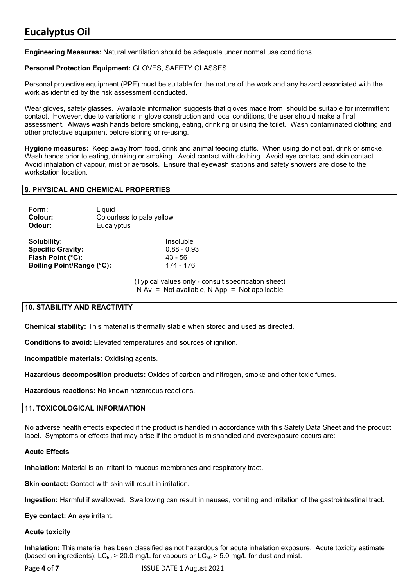**Engineering Measures:** Natural ventilation should be adequate under normal use conditions.

#### **Personal Protection Equipment:** GLOVES, SAFETY GLASSES.

Personal protective equipment (PPE) must be suitable for the nature of the work and any hazard associated with the work as identified by the risk assessment conducted.

Wear gloves, safety glasses. Available information suggests that gloves made from should be suitable for intermittent contact. However, due to variations in glove construction and local conditions, the user should make a final assessment. Always wash hands before smoking, eating, drinking or using the toilet. Wash contaminated clothing and other protective equipment before storing or re-using.

**Hygiene measures:** Keep away from food, drink and animal feeding stuffs. When using do not eat, drink or smoke. Wash hands prior to eating, drinking or smoking. Avoid contact with clothing. Avoid eye contact and skin contact. Avoid inhalation of vapour, mist or aerosols. Ensure that eyewash stations and safety showers are close to the workstation location.

#### **9. PHYSICAL AND CHEMICAL PROPERTIES**

| Form:   | Liquid                    |
|---------|---------------------------|
| Colour: | Colourless to pale yellow |
| Odour:  | Eucalyptus                |

| Solubility:                 | Insoluble     |
|-----------------------------|---------------|
| <b>Specific Gravity:</b>    | $0.88 - 0.93$ |
| Flash Point $(^{\circ}C)$ : | $43 - 56$     |
| Boiling Point/Range (°C):   | 174 - 176     |

(Typical values only - consult specification sheet)  $N Av = Not available, N App = Not applicable$ 

#### **10. STABILITY AND REACTIVITY**

**Chemical stability:** This material is thermally stable when stored and used as directed.

**Conditions to avoid:** Elevated temperatures and sources of ignition.

**Incompatible materials:** Oxidising agents.

**Hazardous decomposition products:** Oxides of carbon and nitrogen, smoke and other toxic fumes.

**Hazardous reactions:** No known hazardous reactions.

#### **11. TOXICOLOGICAL INFORMATION**

No adverse health effects expected if the product is handled in accordance with this Safety Data Sheet and the product label. Symptoms or effects that may arise if the product is mishandled and overexposure occurs are:

#### **Acute Effects**

**Inhalation:** Material is an irritant to mucous membranes and respiratory tract.

**Skin contact:** Contact with skin will result in irritation.

**Ingestion:** Harmful if swallowed. Swallowing can result in nausea, vomiting and irritation of the gastrointestinal tract.

**Eye contact:** An eye irritant.

#### **Acute toxicity**

**Inhalation:** This material has been classified as not hazardous for acute inhalation exposure. Acute toxicity estimate (based on ingredients):  $LC_{50}$  > 20.0 mg/L for vapours or  $LC_{50}$  > 5.0 mg/L for dust and mist.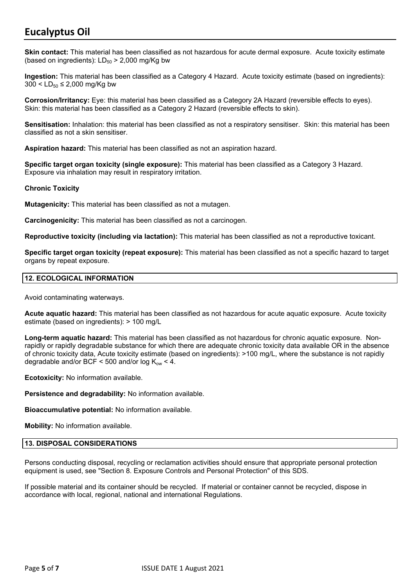### **Eucalyptus Oil**

**Skin contact:** This material has been classified as not hazardous for acute dermal exposure. Acute toxicity estimate (based on ingredients):  $LD_{50}$  > 2,000 mg/Kg bw

**Ingestion:** This material has been classified as a Category 4 Hazard. Acute toxicity estimate (based on ingredients):  $300 < L D_{50} \leq 2,000$  mg/Kg bw

**Corrosion/Irritancy:** Eye: this material has been classified as a Category 2A Hazard (reversible effects to eyes). Skin: this material has been classified as a Category 2 Hazard (reversible effects to skin).

**Sensitisation:** Inhalation: this material has been classified as not a respiratory sensitiser. Skin: this material has been classified as not a skin sensitiser.

**Aspiration hazard:** This material has been classified as not an aspiration hazard.

**Specific target organ toxicity (single exposure):** This material has been classified as a Category 3 Hazard. Exposure via inhalation may result in respiratory irritation.

#### **Chronic Toxicity**

**Mutagenicity:** This material has been classified as not a mutagen.

**Carcinogenicity:** This material has been classified as not a carcinogen.

**Reproductive toxicity (including via lactation):** This material has been classified as not a reproductive toxicant.

**Specific target organ toxicity (repeat exposure):** This material has been classified as not a specific hazard to target organs by repeat exposure.

#### **12. ECOLOGICAL INFORMATION**

Avoid contaminating waterways.

**Acute aquatic hazard:** This material has been classified as not hazardous for acute aquatic exposure. Acute toxicity estimate (based on ingredients): > 100 mg/L

**Long-term aquatic hazard:** This material has been classified as not hazardous for chronic aquatic exposure. Nonrapidly or rapidly degradable substance for which there are adequate chronic toxicity data available OR in the absence of chronic toxicity data, Acute toxicity estimate (based on ingredients): >100 mg/L, where the substance is not rapidly degradable and/or BCF < 500 and/or log  $K_{ow}$  < 4.

**Ecotoxicity:** No information available.

**Persistence and degradability:** No information available.

**Bioaccumulative potential:** No information available.

**Mobility:** No information available.

#### **13. DISPOSAL CONSIDERATIONS**

Persons conducting disposal, recycling or reclamation activities should ensure that appropriate personal protection equipment is used, see "Section 8. Exposure Controls and Personal Protection" of this SDS.

If possible material and its container should be recycled. If material or container cannot be recycled, dispose in accordance with local, regional, national and international Regulations.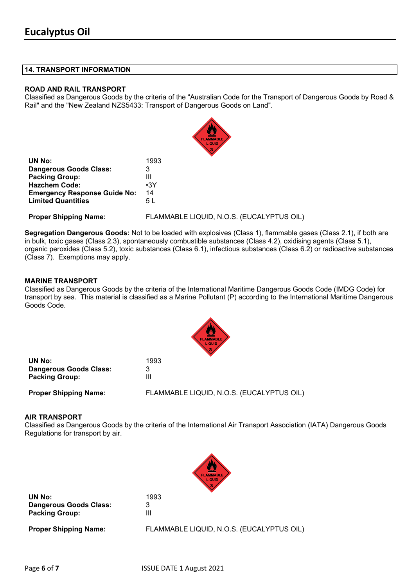#### **14. TRANSPORT INFORMATION**

#### **ROAD AND RAIL TRANSPORT**

Classified as Dangerous Goods by the criteria of the "Australian Code for the Transport of Dangerous Goods by Road & Rail" and the "New Zealand NZS5433: Transport of Dangerous Goods on Land".

|                                     | __<br><b>FLAMMABLE</b>                    |
|-------------------------------------|-------------------------------------------|
| UN No:                              | 1993                                      |
| <b>Dangerous Goods Class:</b>       | 3                                         |
| <b>Packing Group:</b>               | Ш                                         |
| <b>Hazchem Code:</b>                | $\cdot$ 3Y                                |
| <b>Emergency Response Guide No:</b> | 14                                        |
| <b>Limited Quantities</b>           | 5 L                                       |
| <b>Proper Shipping Name:</b>        | FLAMMABLE LIQUID, N.O.S. (EUCALYPTUS OIL) |

**Segregation Dangerous Goods:** Not to be loaded with explosives (Class 1), flammable gases (Class 2.1), if both are in bulk, toxic gases (Class 2.3), spontaneously combustible substances (Class 4.2), oxidising agents (Class 5.1), organic peroxides (Class 5.2), toxic substances (Class 6.1), infectious substances (Class 6.2) or radioactive substances (Class 7). Exemptions may apply.

#### **MARINE TRANSPORT**

Classified as Dangerous Goods by the criteria of the International Maritime Dangerous Goods Code (IMDG Code) for transport by sea. This material is classified as a Marine Pollutant (P) according to the International Maritime Dangerous Goods Code.

| <b>FLAMMABLE</b><br><b>LIQUID</b> |
|-----------------------------------|
|                                   |
|                                   |

| UN No:                       | 1993                                      |
|------------------------------|-------------------------------------------|
| Dangerous Goods Class:       |                                           |
| <b>Packing Group:</b>        |                                           |
| <b>Proper Shipping Name:</b> | FLAMMABLE LIQUID, N.O.S. (EUCALYPTUS OIL) |

#### **AIR TRANSPORT**

Classified as Dangerous Goods by the criteria of the International Air Transport Association (IATA) Dangerous Goods Regulations for transport by air.



**UN No:** 1993 **Dangerous Goods Class:** 3 **Packing Group:** III

**Proper Shipping Name:** FLAMMABLE LIQUID, N.O.S. (EUCALYPTUS OIL)